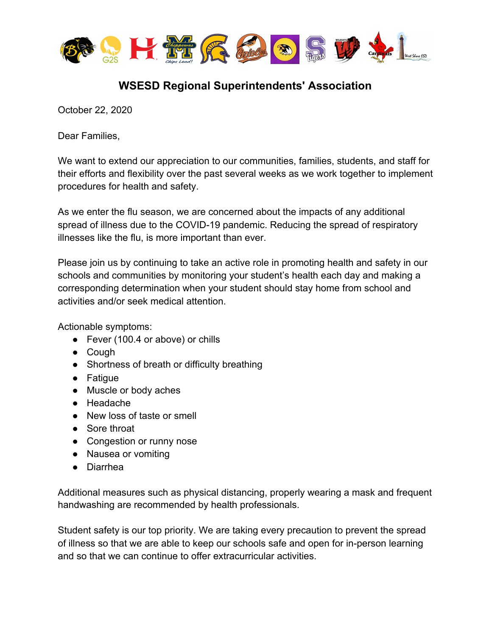

## **WSESD Regional Superintendents' Association**

October 22, 2020

Dear Families,

We want to extend our appreciation to our communities, families, students, and staff for their efforts and flexibility over the past several weeks as we work together to implement procedures for health and safety.

As we enter the flu season, we are concerned about the impacts of any additional spread of illness due to the COVID-19 pandemic. Reducing the spread of respiratory illnesses like the flu, is more important than ever.

Please join us by continuing to take an active role in promoting health and safety in our schools and communities by monitoring your student's health each day and making a corresponding determination when your student should stay home from school and activities and/or seek medical attention.

Actionable symptoms:

- Fever (100.4 or above) or chills
- Cough
- Shortness of breath or difficulty breathing
- Fatigue
- Muscle or body aches
- Headache
- New loss of taste or smell
- Sore throat
- Congestion or runny nose
- Nausea or vomiting
- Diarrhea

Additional measures such as physical distancing, properly wearing a mask and frequent handwashing are recommended by health professionals.

Student safety is our top priority. We are taking every precaution to prevent the spread of illness so that we are able to keep our schools safe and open for in-person learning and so that we can continue to offer extracurricular activities.